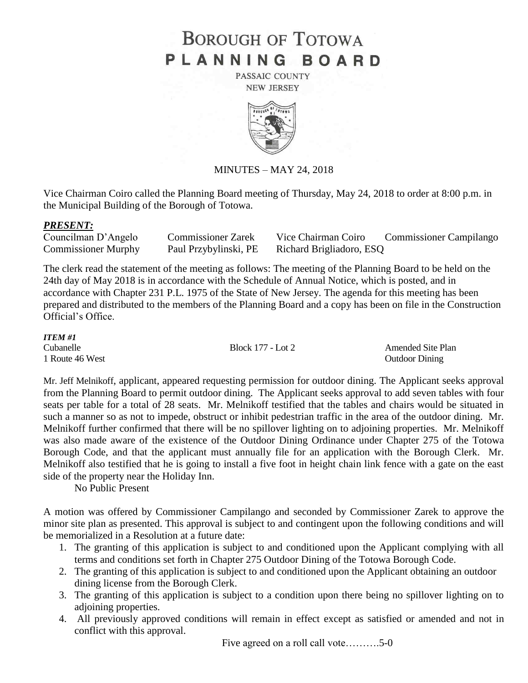## **BOROUGH OF TOTOWA** PLANNING BOARD

PASSAIC COUNTY **NEW JERSEY** 



MINUTES – MAY 24, 2018

Vice Chairman Coiro called the Planning Board meeting of Thursday, May 24, 2018 to order at 8:00 p.m. in the Municipal Building of the Borough of Totowa.

## *PRESENT:*

Councilman D'Angelo Commissioner Zarek Vice Chairman Coiro Commissioner Campilango Commissioner Murphy Paul Przybylinski, PE Richard Brigliadoro, ESQ

The clerk read the statement of the meeting as follows: The meeting of the Planning Board to be held on the 24th day of May 2018 is in accordance with the Schedule of Annual Notice, which is posted, and in accordance with Chapter 231 P.L. 1975 of the State of New Jersey. The agenda for this meeting has been prepared and distributed to the members of the Planning Board and a copy has been on file in the Construction Official's Office.

| <b>ITEM#1</b>   |                   |                       |
|-----------------|-------------------|-----------------------|
| Cubanelle       | Block 177 - Lot 2 | Amended Site Plan     |
| 1 Route 46 West |                   | <b>Outdoor Dining</b> |

Mr. Jeff Melnikoff, applicant, appeared requesting permission for outdoor dining. The Applicant seeks approval from the Planning Board to permit outdoor dining. The Applicant seeks approval to add seven tables with four seats per table for a total of 28 seats. Mr. Melnikoff testified that the tables and chairs would be situated in such a manner so as not to impede, obstruct or inhibit pedestrian traffic in the area of the outdoor dining. Mr. Melnikoff further confirmed that there will be no spillover lighting on to adjoining properties. Mr. Melnikoff was also made aware of the existence of the Outdoor Dining Ordinance under Chapter 275 of the Totowa Borough Code, and that the applicant must annually file for an application with the Borough Clerk. Mr. Melnikoff also testified that he is going to install a five foot in height chain link fence with a gate on the east side of the property near the Holiday Inn.

No Public Present

A motion was offered by Commissioner Campilango and seconded by Commissioner Zarek to approve the minor site plan as presented. This approval is subject to and contingent upon the following conditions and will be memorialized in a Resolution at a future date:

- 1. The granting of this application is subject to and conditioned upon the Applicant complying with all terms and conditions set forth in Chapter 275 Outdoor Dining of the Totowa Borough Code.
- 2. The granting of this application is subject to and conditioned upon the Applicant obtaining an outdoor dining license from the Borough Clerk.
- 3. The granting of this application is subject to a condition upon there being no spillover lighting on to adjoining properties.
- 4. All previously approved conditions will remain in effect except as satisfied or amended and not in conflict with this approval.

Five agreed on a roll call vote……….5-0